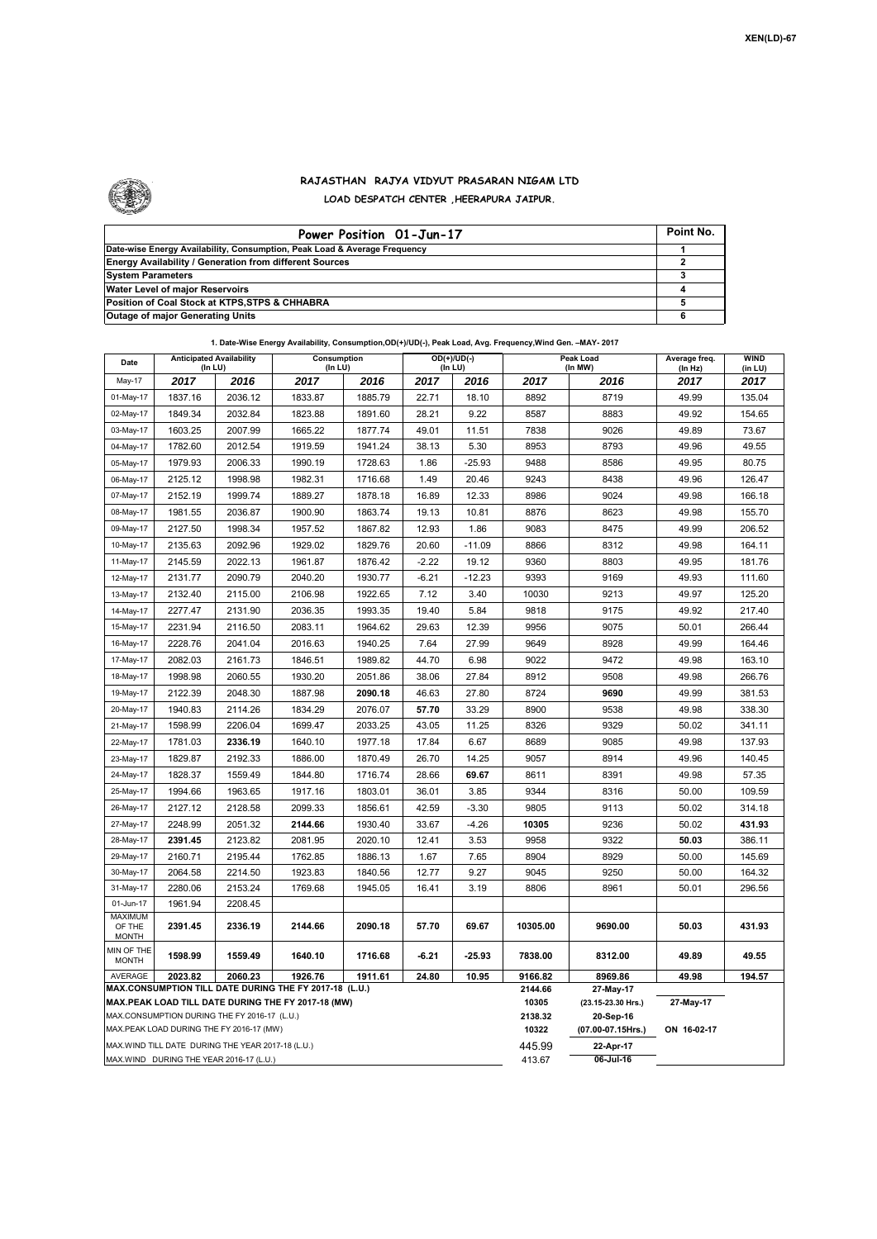

## **RAJASTHAN RAJYA VIDYUT PRASARAN NIGAM LTD LOAD DESPATCH CENTER ,HEERAPURA JAIPUR.**

| Power Position 01-Jun-17                                                  | Point No. |
|---------------------------------------------------------------------------|-----------|
| Date-wise Energy Availability, Consumption, Peak Load & Average Frequency |           |
| <b>Energy Availability / Generation from different Sources</b>            |           |
| <b>System Parameters</b>                                                  |           |
| Water Level of major Reservoirs                                           |           |
| Position of Coal Stock at KTPS, STPS & CHHABRA                            |           |
| <b>Outage of major Generating Units</b>                                   |           |

| 1. Date-Wise Energy Availability, Consumption, OD(+)/UD(-), Peak Load, Avg. Frequency, Wind Gen. - MAY- 2017 |
|--------------------------------------------------------------------------------------------------------------|
|--------------------------------------------------------------------------------------------------------------|

| Date                                                                                                                | <b>Anticipated Availability</b><br>$($ In LU $)$  |         | Consumption<br>$($ In LU $)$ |         |         | $OD(+)/UD(-)$<br>(In LU) |                                 | Peak Load<br>(In MW) | Average freq.<br>(In Hz) | <b>WIND</b><br>(in LU) |  |
|---------------------------------------------------------------------------------------------------------------------|---------------------------------------------------|---------|------------------------------|---------|---------|--------------------------|---------------------------------|----------------------|--------------------------|------------------------|--|
| May-17                                                                                                              | 2017                                              | 2016    | 2017                         | 2016    | 2017    | 2016                     | 2017                            | 2016                 | 2017                     | 2017                   |  |
| 01-May-17                                                                                                           | 1837.16                                           | 2036.12 | 1833.87                      | 1885.79 | 22.71   | 18.10                    | 8892                            | 8719                 | 49.99                    | 135.04                 |  |
| 02-May-17                                                                                                           | 1849.34                                           | 2032.84 | 1823.88                      | 1891.60 | 28.21   | 9.22                     | 8587                            | 8883                 | 49.92                    | 154.65                 |  |
| 03-May-17                                                                                                           | 1603.25                                           | 2007.99 | 1665.22                      | 1877.74 | 49.01   | 11.51                    | 7838                            | 9026                 | 49.89                    | 73.67                  |  |
| 04-May-17                                                                                                           | 1782.60                                           | 2012.54 | 1919.59                      | 1941.24 | 38.13   | 5.30                     | 8953                            | 8793                 | 49.96                    | 49.55                  |  |
| 05-May-17                                                                                                           | 1979.93                                           | 2006.33 | 1990.19                      | 1728.63 | 1.86    | $-25.93$                 | 9488                            | 8586                 | 49.95                    | 80.75                  |  |
| 06-May-17                                                                                                           | 2125.12                                           | 1998.98 | 1982.31                      | 1716.68 | 1.49    | 20.46                    | 9243                            | 8438                 | 49.96                    | 126.47                 |  |
| 07-May-17                                                                                                           | 2152.19                                           | 1999.74 | 1889.27                      | 1878.18 | 16.89   | 12.33                    | 8986                            | 9024                 | 49.98                    | 166.18                 |  |
| 08-May-17                                                                                                           | 1981.55                                           | 2036.87 | 1900.90                      | 1863.74 | 19.13   | 10.81                    | 8876                            | 8623                 | 49.98                    | 155.70                 |  |
| 09-May-17                                                                                                           | 2127.50                                           | 1998.34 | 1957.52                      | 1867.82 | 12.93   | 1.86                     | 9083                            | 8475                 | 49.99                    | 206.52                 |  |
| 10-May-17                                                                                                           | 2135.63                                           | 2092.96 | 1929.02                      | 1829.76 | 20.60   | $-11.09$                 | 8866                            | 8312                 | 49.98                    | 164.11                 |  |
| 11-May-17                                                                                                           | 2145.59                                           | 2022.13 | 1961.87                      | 1876.42 | $-2.22$ | 19.12                    | 9360                            | 8803                 | 49.95                    | 181.76                 |  |
| 12-May-17                                                                                                           | 2131.77                                           | 2090.79 | 2040.20                      | 1930.77 | $-6.21$ | $-12.23$                 | 9393                            | 9169                 | 49.93                    | 111.60                 |  |
| 13-May-17                                                                                                           | 2132.40                                           | 2115.00 | 2106.98                      | 1922.65 | 7.12    | 3.40                     | 10030                           | 9213                 | 49.97                    | 125.20                 |  |
| 14-May-17                                                                                                           | 2277.47                                           | 2131.90 | 2036.35                      | 1993.35 | 19.40   | 5.84                     | 9818                            | 9175                 | 49.92                    | 217.40                 |  |
| 15-May-17                                                                                                           | 2231.94                                           | 2116.50 | 2083.11                      | 1964.62 | 29.63   | 12.39                    | 9956                            | 9075                 | 50.01                    | 266.44                 |  |
| 16-May-17                                                                                                           | 2228.76                                           | 2041.04 | 2016.63                      | 1940.25 | 7.64    | 27.99                    | 9649                            | 8928                 | 49.99                    | 164.46                 |  |
| 17-May-17                                                                                                           | 2082.03                                           | 2161.73 | 1846.51                      | 1989.82 | 44.70   | 6.98                     | 9022                            | 9472                 | 49.98                    | 163.10                 |  |
| 18-May-17                                                                                                           | 1998.98                                           | 2060.55 | 1930.20                      | 2051.86 | 38.06   | 27.84                    | 8912                            | 9508                 | 49.98                    | 266.76                 |  |
| 19-May-17                                                                                                           | 2122.39                                           | 2048.30 | 1887.98                      | 2090.18 | 46.63   | 27.80                    | 8724                            | 9690                 | 49.99                    | 381.53                 |  |
| 20-May-17                                                                                                           | 1940.83                                           | 2114.26 | 1834.29                      | 2076.07 | 57.70   | 33.29                    | 8900                            | 9538                 | 49.98                    | 338.30                 |  |
| 21-May-17                                                                                                           | 1598.99                                           | 2206.04 | 1699.47                      | 2033.25 | 43.05   | 11.25                    | 8326                            | 9329                 | 50.02                    | 341.11                 |  |
| 22-May-17                                                                                                           | 1781.03                                           | 2336.19 | 1640.10                      | 1977.18 | 17.84   | 6.67                     | 8689                            | 9085                 | 49.98                    | 137.93                 |  |
| 23-May-17                                                                                                           | 1829.87                                           | 2192.33 | 1886.00                      | 1870.49 | 26.70   | 14.25                    | 9057                            | 8914                 | 49.96                    | 140.45                 |  |
| 24-May-17                                                                                                           | 1828.37                                           | 1559.49 | 1844.80                      | 1716.74 | 28.66   | 69.67                    | 8611                            | 8391                 | 49.98                    | 57.35                  |  |
| 25-May-17                                                                                                           | 1994.66                                           | 1963.65 | 1917.16                      | 1803.01 | 36.01   | 3.85                     | 9344                            | 8316                 | 50.00                    | 109.59                 |  |
| 26-May-17                                                                                                           | 2127.12                                           | 2128.58 | 2099.33                      | 1856.61 | 42.59   | $-3.30$                  | 9805                            | 9113                 | 50.02                    | 314.18                 |  |
| 27-May-17                                                                                                           | 2248.99                                           | 2051.32 | 2144.66                      | 1930.40 | 33.67   | $-4.26$                  | 10305                           | 9236                 | 50.02                    | 431.93                 |  |
| 28-May-17                                                                                                           | 2391.45                                           | 2123.82 | 2081.95                      | 2020.10 | 12.41   | 3.53                     | 9958                            | 9322                 | 50.03                    | 386.11                 |  |
| 29-May-17                                                                                                           | 2160.71                                           | 2195.44 | 1762.85                      | 1886.13 | 1.67    | 7.65                     | 8904                            | 8929                 | 50.00                    | 145.69                 |  |
| 30-May-17                                                                                                           | 2064.58                                           | 2214.50 | 1923.83                      | 1840.56 | 12.77   | 9.27                     | 9045                            | 9250                 | 50.00                    | 164.32                 |  |
| 31-May-17                                                                                                           | 2280.06                                           | 2153.24 | 1769.68                      | 1945.05 | 16.41   | 3.19                     | 8806                            | 8961                 | 50.01                    | 296.56                 |  |
| 01-Jun-17<br><b>MAXIMUM</b>                                                                                         | 1961.94                                           | 2208.45 |                              |         |         |                          |                                 |                      |                          |                        |  |
| OF THE<br><b>MONTH</b>                                                                                              | 2391.45                                           | 2336.19 | 2144.66                      | 2090.18 | 57.70   | 69.67                    | 10305.00                        | 9690.00              | 50.03                    | 431.93                 |  |
| MIN OF THE<br><b>MONTH</b>                                                                                          | 1598.99                                           | 1559.49 | 1640.10                      | 1716.68 | $-6.21$ | $-25.93$                 | 7838.00                         | 8312.00              | 49.89                    | 49.55                  |  |
| <b>AVERAGE</b>                                                                                                      | 2023.82                                           | 2060.23 | 1926.76                      | 1911.61 | 24.80   | 10.95                    | 9166.82                         | 8969.86              | 49.98                    | 194.57                 |  |
| MAX.CONSUMPTION TILL DATE DURING THE FY 2017-18 (L.U.)<br><b>MAX.PEAK LOAD TILL DATE DURING THE FY 2017-18 (MW)</b> |                                                   |         |                              |         |         | 2144.66<br>10305         | 27-May-17<br>(23.15-23.30 Hrs.) | 27-May-17            |                          |                        |  |
| MAX.CONSUMPTION DURING THE FY 2016-17 (L.U.)                                                                        |                                                   |         |                              |         |         |                          | 2138.32                         | 20-Sep-16            |                          |                        |  |
| MAX.PEAK LOAD DURING THE FY 2016-17 (MW)                                                                            |                                                   |         |                              |         |         |                          | 10322                           | (07.00-07.15Hrs.)    | ON 16-02-17              |                        |  |
|                                                                                                                     | MAX.WIND TILL DATE DURING THE YEAR 2017-18 (L.U.) |         |                              |         |         |                          | 445.99                          | 22-Apr-17            |                          |                        |  |
| MAX.WIND DURING THE YEAR 2016-17 (L.U.)                                                                             |                                                   |         |                              |         |         |                          |                                 | 06-Jul-16            |                          |                        |  |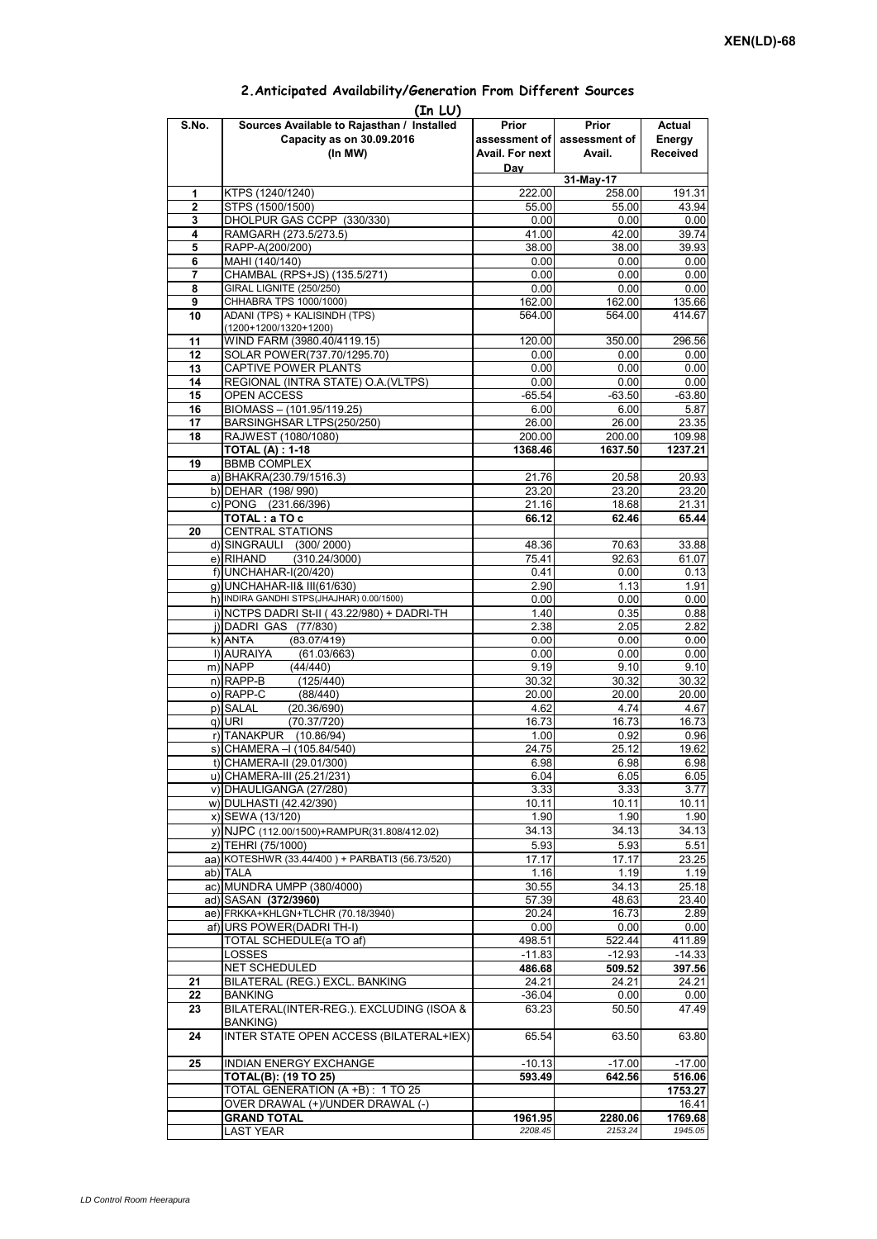| (In LU) |                                                 |                 |                             |                 |  |  |  |  |  |
|---------|-------------------------------------------------|-----------------|-----------------------------|-----------------|--|--|--|--|--|
| S.No.   | Sources Available to Rajasthan / Installed      | Prior           | Prior                       | Actual          |  |  |  |  |  |
|         | Capacity as on 30.09.2016                       |                 | assessment of assessment of | Energy          |  |  |  |  |  |
|         | (In MW)                                         | Avail. For next | Avail.                      | <b>Received</b> |  |  |  |  |  |
|         |                                                 | Day             |                             |                 |  |  |  |  |  |
|         |                                                 |                 | 31-May-17                   |                 |  |  |  |  |  |
| 1       | KTPS (1240/1240)                                | 222.00          | 258.00                      | 191.31          |  |  |  |  |  |
| 2       | STPS (1500/1500)                                | 55.00           | 55.00                       | 43.94           |  |  |  |  |  |
| 3       | DHOLPUR GAS CCPP (330/330)                      | 0.00            | 0.00                        | 0.00            |  |  |  |  |  |
| 4       | RAMGARH (273.5/273.5)                           | 41.00           | 42.00                       | 39.74           |  |  |  |  |  |
| 5       | RAPP-A(200/200)                                 | 38.00           | 38.00                       | 39.93           |  |  |  |  |  |
| 6       | MAHI (140/140)                                  | 0.00            | 0.00                        | 0.00            |  |  |  |  |  |
| 7       | CHAMBAL (RPS+JS) (135.5/271)                    | 0.00            | 0.00                        | 0.00            |  |  |  |  |  |
| 8       | GIRAL LIGNITE (250/250)                         | 0.00            | 0.00                        | 0.00            |  |  |  |  |  |
| 9       | CHHABRA TPS 1000/1000)                          | 162.00          | 162.00                      | 135.66          |  |  |  |  |  |
| 10      | ADANI (TPS) + KALISINDH (TPS)                   | 564.00          | 564.00                      | 414.67          |  |  |  |  |  |
|         | $(1200+1200/1320+1200)$                         |                 |                             |                 |  |  |  |  |  |
| 11      | WIND FARM (3980.40/4119.15)                     | 120.00          | 350.00                      | 296.56          |  |  |  |  |  |
| 12      | SOLAR POWER(737.70/1295.70)                     | 0.00            | 0.00                        | 0.00            |  |  |  |  |  |
| 13      | CAPTIVE POWER PLANTS                            | 0.00            | 0.00                        | 0.00            |  |  |  |  |  |
| 14      | REGIONAL (INTRA STATE) O.A. (VLTPS)             | 0.00            | 0.00                        | 0.00            |  |  |  |  |  |
| 15      | OPEN ACCESS                                     | $-65.54$        | $-63.50$                    | $-63.80$        |  |  |  |  |  |
| 16      | BIOMASS - (101.95/119.25)                       | 6.00            | 6.00                        | 5.87            |  |  |  |  |  |
| 17      | BARSINGHSAR LTPS(250/250)                       | 26.00           | 26.00                       | 23.35           |  |  |  |  |  |
| 18      | RAJWEST (1080/1080)                             | 200.00          | 200.00                      | 109.98          |  |  |  |  |  |
|         | <b>TOTAL (A) : 1-18</b>                         | 1368.46         | 1637.50                     | 1237.21         |  |  |  |  |  |
| 19      | <b>BBMB COMPLEX</b>                             |                 |                             |                 |  |  |  |  |  |
|         |                                                 |                 |                             |                 |  |  |  |  |  |
|         | a) BHAKRA(230.79/1516.3)                        | 21.76           | 20.58                       | 20.93           |  |  |  |  |  |
|         | b) DEHAR (198/990)                              | 23.20           | 23.20                       | 23.20           |  |  |  |  |  |
|         | c) PONG (231.66/396)                            | 21.16           | 18.68                       | 21.31           |  |  |  |  |  |
|         | TOTAL: a TO c                                   | 66.12           | 62.46                       | 65.44           |  |  |  |  |  |
| 20      | <b>CENTRAL STATIONS</b>                         |                 |                             |                 |  |  |  |  |  |
|         | d) SINGRAULI (300/2000)                         | 48.36           | 70.63                       | 33.88           |  |  |  |  |  |
|         | (310.24/3000)<br>e) RIHAND                      | 75.41           | 92.63                       | 61.07           |  |  |  |  |  |
|         | f) UNCHAHAR-I(20/420)                           | 0.41            | 0.00                        | 0.13            |  |  |  |  |  |
|         | g) UNCHAHAR-II& III(61/630)                     | 2.90            | 1.13                        | 1.91            |  |  |  |  |  |
|         | h) INDIRA GANDHI STPS(JHAJHAR) 0.00/1500)       | 0.00            | 0.00                        | 0.00            |  |  |  |  |  |
|         | i) NCTPS DADRI St-II (43.22/980) + DADRI-TH     | 1.40            | 0.35                        | 0.88            |  |  |  |  |  |
|         | j) DADRI GAS (77/830)                           | 2.38            | 2.05                        | 2.82            |  |  |  |  |  |
|         | $k)$ ANTA<br>(83.07/419)                        | 0.00            | 0.00                        | 0.00            |  |  |  |  |  |
|         | I) AURAIYA<br>(61.03/663)                       | 0.00            | 0.00                        | 0.00            |  |  |  |  |  |
|         | m) NAPP<br>(44/440)                             | 9.19            | 9.10                        | 9.10            |  |  |  |  |  |
|         | $n)$ RAPP-B<br>(125/440)                        | 30.32           | 30.32                       | 30.32           |  |  |  |  |  |
|         | o) RAPP-C<br>(88/440)                           | 20.00           | 20.00                       | 20.00           |  |  |  |  |  |
|         | p) SALAL<br>(20.36/690)                         | 4.62            | 4.74                        | 4.67            |  |  |  |  |  |
|         | q) URI<br>(70.37/720)                           | 16.73           | 16.73                       | 16.73           |  |  |  |  |  |
|         | r) TANAKPUR (10.86/94)                          | 1.00            | 0.92                        | 0.96            |  |  |  |  |  |
|         | s) CHAMERA - (105.84/540)                       | 24.75           | $25.\overline{12}$          | 19.62           |  |  |  |  |  |
|         | t) CHAMERA-II (29.01/300)                       | 6.98            | 6.98                        | 6.98            |  |  |  |  |  |
|         | u) CHAMERA-III (25.21/231)                      | 6.04            | 6.05                        | 6.05            |  |  |  |  |  |
|         | v) DHAULIGANGA (27/280)                         | 3.33            | 3.33                        | 3.77            |  |  |  |  |  |
|         | w) DULHASTI (42.42/390)                         | 10.11           | 10.11                       | 10.11           |  |  |  |  |  |
|         | x) SEWA (13/120)                                | 1.90            | 1.90                        | 1.90            |  |  |  |  |  |
|         | y) NJPC (112.00/1500) + RAMPUR(31.808/412.02)   | 34.13           | 34.13                       | 34.13           |  |  |  |  |  |
|         | z) TEHRI (75/1000)                              | 5.93            | 5.93                        | 5.51            |  |  |  |  |  |
|         | aa) KOTESHWR (33.44/400) + PARBATI3 (56.73/520) |                 |                             |                 |  |  |  |  |  |
|         |                                                 | 17.17           | 17.17                       | 23.25           |  |  |  |  |  |
|         | ab) TALA                                        | 1.16            | 1.19                        | 1.19            |  |  |  |  |  |
|         | ac) MUNDRA UMPP (380/4000)                      | 30.55           | 34.13                       | 25.18           |  |  |  |  |  |
|         | ad) SASAN (372/3960)                            | 57.39           | 48.63                       | 23.40           |  |  |  |  |  |
|         | ae) FRKKA+KHLGN+TLCHR (70.18/3940)              | 20.24           | 16.73                       | 2.89            |  |  |  |  |  |
|         | af) URS POWER(DADRI TH-I)                       | 0.00            | 0.00                        | 0.00            |  |  |  |  |  |
|         | TOTAL SCHEDULE(a TO af)                         | 498.51          | 522.44                      | 411.89          |  |  |  |  |  |
|         | LOSSES                                          | $-11.83$        | $-12.93$                    | $-14.33$        |  |  |  |  |  |
|         | NET SCHEDULED                                   | 486.68          | 509.52                      | 397.56          |  |  |  |  |  |
| 21      | BILATERAL (REG.) EXCL. BANKING                  | 24.21           | 24.21                       | 24.21           |  |  |  |  |  |
| 22      | <b>BANKING</b>                                  | $-36.04$        | 0.00                        | 0.00            |  |  |  |  |  |
| 23      | BILATERAL(INTER-REG.). EXCLUDING (ISOA &        | 63.23           | 50.50                       | 47.49           |  |  |  |  |  |
|         | BANKING)                                        |                 |                             |                 |  |  |  |  |  |
| 24      | INTER STATE OPEN ACCESS (BILATERAL+IEX)         | 65.54           | 63.50                       | 63.80           |  |  |  |  |  |
|         |                                                 |                 |                             |                 |  |  |  |  |  |
| 25      | INDIAN ENERGY EXCHANGE                          | $-10.13$        | $-17.00$                    | $-17.00$        |  |  |  |  |  |
|         | <b>TOTAL(B): (19 TO 25)</b>                     | 593.49          | 642.56                      | 516.06          |  |  |  |  |  |
|         | TOTAL GENERATION (A +B) : 1 TO 25               |                 |                             | 1753.27         |  |  |  |  |  |
|         | OVER DRAWAL (+)/UNDER DRAWAL (-)                |                 |                             | 16.41           |  |  |  |  |  |
|         | <b>GRAND TOTAL</b>                              | 1961.95         | 2280.06                     | 1769.68         |  |  |  |  |  |
|         | <b>LAST YEAR</b>                                | 2208.45         | 2153.24                     | 1945.05         |  |  |  |  |  |

## **2.Anticipated Availability/Generation From Different Sources**